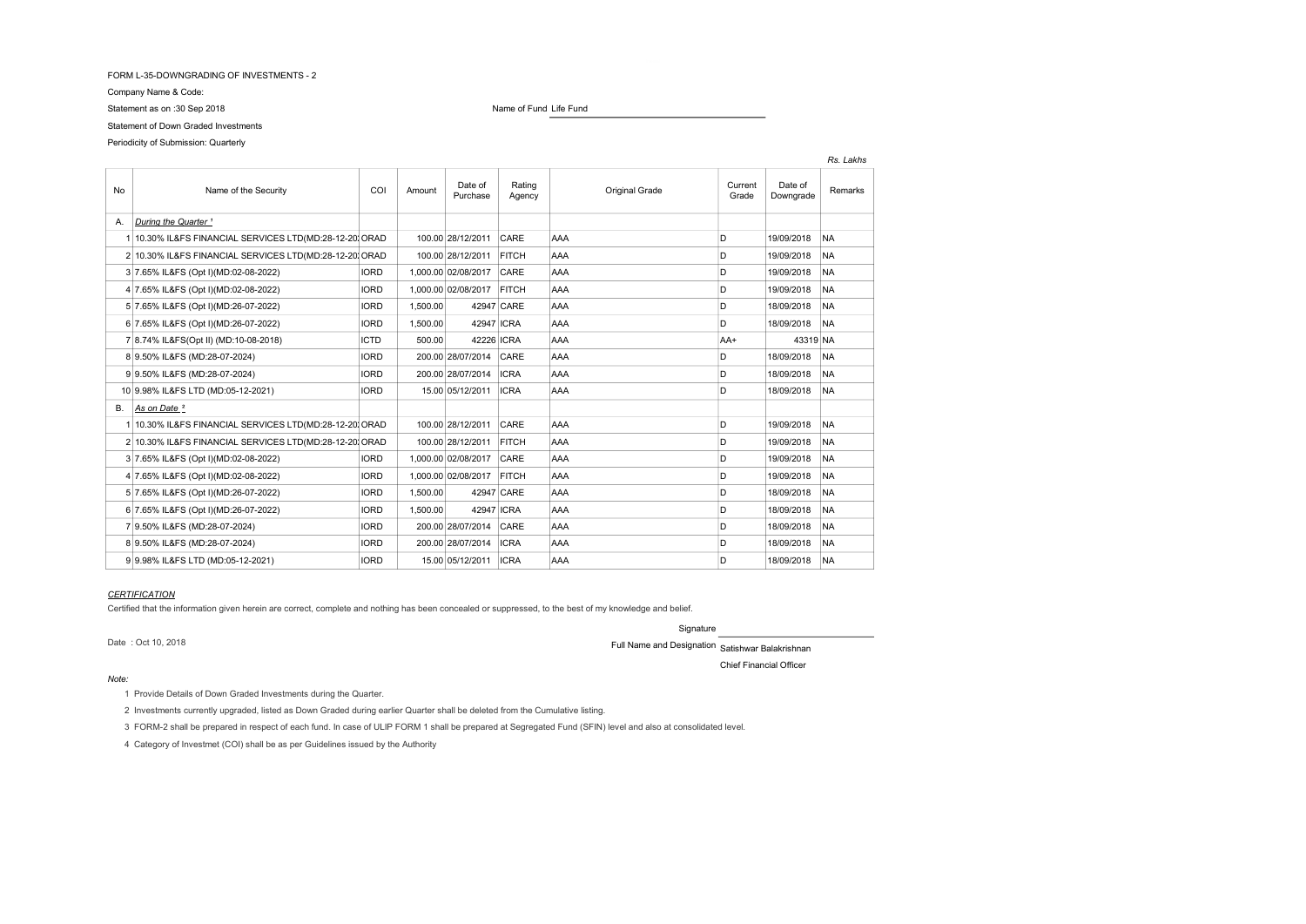#### FORM L-35-DOWNGRADING OF INVESTMENTS - 2

Company Name & Code:

Statement of Down Graded Investments

# Periodicity of Submission: Quarterly

Statement as on :30 Sep 2018 **Name of Fund Life Fund** 

|    |                                                         |             |          |                     |                  |                |                  |                      | Rs. Lakhs |
|----|---------------------------------------------------------|-------------|----------|---------------------|------------------|----------------|------------------|----------------------|-----------|
| No | Name of the Security                                    | COI         | Amount   | Date of<br>Purchase | Rating<br>Agency | Original Grade | Current<br>Grade | Date of<br>Downgrade | Remarks   |
| А. | During the Quarter <sup>1</sup>                         |             |          |                     |                  |                |                  |                      |           |
|    | 1 10.30% IL&FS FINANCIAL SERVICES LTD(MD:28-12-20) ORAD |             |          | 100.00 28/12/2011   | CARE             | AAA            | D                | 19/09/2018           | <b>NA</b> |
|    | 2 10.30% IL&FS FINANCIAL SERVICES LTD(MD:28-12-20) ORAD |             |          | 100.00 28/12/2011   | <b>FITCH</b>     | AAA            | D                | 19/09/2018           | <b>NA</b> |
|    | 3 7.65% IL&FS (Opt I)(MD:02-08-2022)                    | <b>IORD</b> |          | 1,000.00 02/08/2017 | CARE             | AAA            | D                | 19/09/2018           | <b>NA</b> |
|    | 4 7.65% IL&FS (Opt I)(MD:02-08-2022)                    | <b>IORD</b> |          | 1,000.00 02/08/2017 | <b>FITCH</b>     | AAA            | D                | 19/09/2018           | <b>NA</b> |
|    | 5 7.65% IL&FS (Opt I)(MD:26-07-2022)                    | <b>IORD</b> | 1,500.00 |                     | 42947 CARE       | AAA            | D                | 18/09/2018           | <b>NA</b> |
|    | 6 7.65% IL&FS (Opt I)(MD:26-07-2022)                    | <b>IORD</b> | 1,500.00 | 42947 ICRA          |                  | AAA            | D                | 18/09/2018           | <b>NA</b> |
|    | 7 8.74% IL&FS(Opt II) (MD:10-08-2018)                   | <b>ICTD</b> | 500.00   | 42226 ICRA          |                  | AAA            | AA+              | 43319 NA             |           |
|    | 8 9.50% IL&FS (MD:28-07-2024)                           | <b>IORD</b> |          | 200.00 28/07/2014   | CARE             | AAA            | D                | 18/09/2018           | <b>NA</b> |
|    | 9 9.50% IL&FS (MD:28-07-2024)                           | <b>IORD</b> |          | 200.00 28/07/2014   | <b>ICRA</b>      | AAA            | D                | 18/09/2018           | <b>NA</b> |
|    | 10 9.98% IL&FS LTD (MD:05-12-2021)                      | <b>IORD</b> |          | 15.00 05/12/2011    | <b>ICRA</b>      | AAA            | D                | 18/09/2018           | <b>NA</b> |
| В. | As on Date <sup>2</sup>                                 |             |          |                     |                  |                |                  |                      |           |
|    | 1 10.30% IL&FS FINANCIAL SERVICES LTD(MD:28-12-20) ORAD |             |          | 100.00 28/12/2011   | CARE             | AAA            | D                | 19/09/2018           | <b>NA</b> |
|    | 2 10.30% IL&FS FINANCIAL SERVICES LTD(MD:28-12-20) ORAD |             |          | 100.00 28/12/2011   | <b>FITCH</b>     | AAA            | D                | 19/09/2018           | <b>NA</b> |
|    | 3 7.65% IL&FS (Opt I)(MD:02-08-2022)                    | <b>IORD</b> |          | 1,000.00 02/08/2017 | CARE             | AAA            | D                | 19/09/2018           | <b>NA</b> |
|    | 4 7.65% IL&FS (Opt I)(MD:02-08-2022)                    | <b>IORD</b> |          | 1.000.00 02/08/2017 | <b>FITCH</b>     | AAA            | D                | 19/09/2018           | <b>NA</b> |
|    | 5 7.65% IL&FS (Opt I)(MD:26-07-2022)                    | <b>IORD</b> | 1.500.00 |                     | 42947 CARE       | AAA            | D                | 18/09/2018           | <b>NA</b> |
|    | 6 7.65% IL&FS (Opt I)(MD:26-07-2022)                    | <b>IORD</b> | 1.500.00 | 42947 ICRA          |                  | AAA            | D                | 18/09/2018           | <b>NA</b> |
|    | 7 9.50% IL&FS (MD:28-07-2024)                           | <b>IORD</b> |          | 200.00 28/07/2014   | CARE             | AAA            | D                | 18/09/2018           | <b>NA</b> |
|    | 8 9.50% IL&FS (MD:28-07-2024)                           | <b>IORD</b> |          | 200.00 28/07/2014   | <b>ICRA</b>      | AAA            | D                | 18/09/2018           | <b>NA</b> |
|    | 9 9.98% IL&FS LTD (MD:05-12-2021)                       | <b>IORD</b> |          | 15.00 05/12/2011    | <b>ICRA</b>      | AAA            | D                | 18/09/2018           | <b>NA</b> |

#### **CERTIFICATION**

Certified that the information given herein are correct, complete and nothing has been concealed or suppressed, to the best of my knowledge and belief.

Signature

Date : Oct 10, 2018 **Contract 2018** Full Name and Designation Satishwar Balakrishnan

Chief Financial Officer

#### Note:

1 Provide Details of Down Graded Investments during the Quarter.

2 Investments currently upgraded, listed as Down Graded during earlier Quarter shall be deleted from the Cumulative listing.

3 FORM-2 shall be prepared in respect of each fund. In case of ULIP FORM 1 shall be prepared at Segregated Fund (SFIN) level and also at consolidated level.

4 Category of Investmet (COI) shall be as per Guidelines issued by the Authority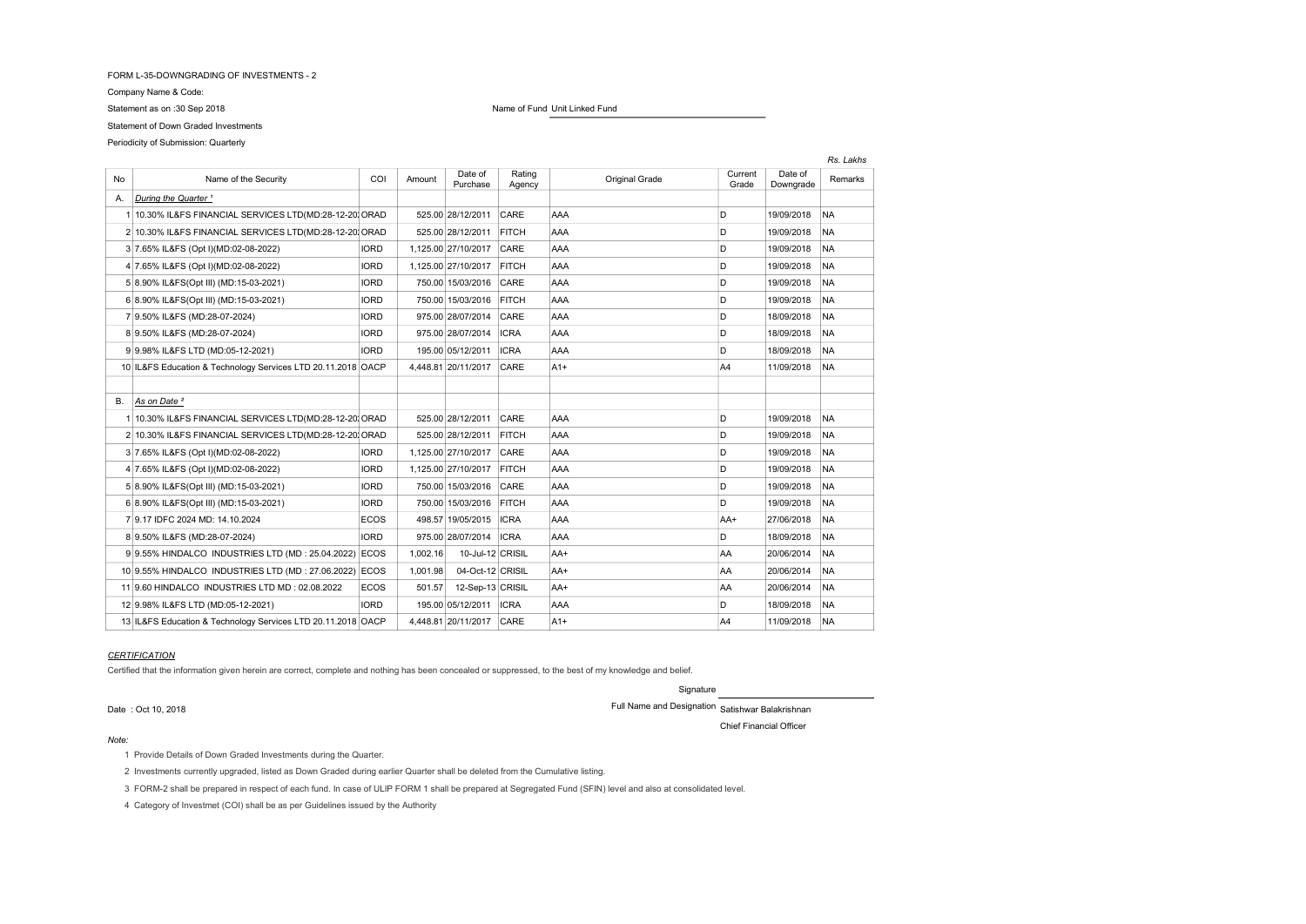## FORM L-35-DOWNGRADING OF INVESTMENTS - 2

Company Name & Code:

Statement of Down Graded Investments

Periodicity of Submission: Quarterly

# Statement as on :30 Sep 2018 Name of Fund Unit Linked Fund

|    | Rs. Lakhs                                                    |             |          |                     |                  |                |                  |                      |           |
|----|--------------------------------------------------------------|-------------|----------|---------------------|------------------|----------------|------------------|----------------------|-----------|
| No | Name of the Security                                         | COI         | Amount   | Date of<br>Purchase | Rating<br>Agency | Original Grade | Current<br>Grade | Date of<br>Downgrade | Remarks   |
| А. | During the Quarter <sup>1</sup>                              |             |          |                     |                  |                |                  |                      |           |
|    | 1 10.30% IL&FS FINANCIAL SERVICES LTD(MD:28-12-20) ORAD      |             |          | 525.00 28/12/2011   | CARE             | AAA            | D                | 19/09/2018           | <b>NA</b> |
|    | 2 10.30% IL&FS FINANCIAL SERVICES LTD(MD:28-12-20) ORAD      |             |          | 525.00 28/12/2011   | <b>FITCH</b>     | AAA            | D                | 19/09/2018           | <b>NA</b> |
|    | 3 7.65% IL&FS (Opt I)(MD:02-08-2022)                         | <b>IORD</b> |          | 1.125.00 27/10/2017 | CARE             | AAA            | D                | 19/09/2018           | <b>NA</b> |
|    | 4 7.65% IL&FS (Opt I)(MD:02-08-2022)                         | <b>IORD</b> |          | 1,125.00 27/10/2017 | <b>FITCH</b>     | AAA            | D                | 19/09/2018           | <b>NA</b> |
|    | 5 8.90% IL&FS(Opt III) (MD:15-03-2021)                       | <b>IORD</b> |          | 750.00 15/03/2016   | CARE             | AAA            | D                | 19/09/2018           | <b>NA</b> |
|    | 6 8.90% IL&FS(Opt III) (MD:15-03-2021)                       | <b>IORD</b> |          | 750.00 15/03/2016   | <b>FITCH</b>     | AAA            | D                | 19/09/2018           | <b>NA</b> |
|    | 7 9.50% IL&FS (MD:28-07-2024)                                | <b>IORD</b> |          | 975.00 28/07/2014   | CARE             | AAA            | D                | 18/09/2018           | <b>NA</b> |
|    | 8 9.50% IL&FS (MD:28-07-2024)                                | <b>IORD</b> |          | 975.00 28/07/2014   | <b>ICRA</b>      | AAA            | D                | 18/09/2018           | <b>NA</b> |
|    | 9 9.98% IL&FS LTD (MD:05-12-2021)                            | <b>IORD</b> |          | 195.00 05/12/2011   | <b>ICRA</b>      | AAA            | D                | 18/09/2018           | <b>NA</b> |
|    | 10 IL&FS Education & Technology Services LTD 20.11.2018 OACP |             |          | 4,448.81 20/11/2017 | CARE             | $A1+$          | A4               | 11/09/2018           | <b>NA</b> |
|    |                                                              |             |          |                     |                  |                |                  |                      |           |
| В. | As on Date <sup>2</sup>                                      |             |          |                     |                  |                |                  |                      |           |
|    | 1 10.30% IL&FS FINANCIAL SERVICES LTD(MD:28-12-20) ORAD      |             |          | 525.00 28/12/2011   | CARE             | AAA            | D                | 19/09/2018           | <b>NA</b> |
|    | 2 10.30% IL&FS FINANCIAL SERVICES LTD(MD:28-12-20) ORAD      |             |          | 525.00 28/12/2011   | <b>FITCH</b>     | AAA            | D                | 19/09/2018           | <b>NA</b> |
|    | 3 7.65% IL&FS (Opt I)(MD:02-08-2022)                         | <b>IORD</b> |          | 1.125.00 27/10/2017 | CARE             | AAA            | D                | 19/09/2018           | <b>NA</b> |
|    | 4 7.65% IL&FS (Opt I)(MD:02-08-2022)                         | <b>IORD</b> |          | 1,125.00 27/10/2017 | <b>FITCH</b>     | AAA            | D                | 19/09/2018           | <b>NA</b> |
|    | 5 8.90% IL&FS(Opt III) (MD:15-03-2021)                       | <b>IORD</b> |          | 750.00 15/03/2016   | CARE             | AAA            | D                | 19/09/2018           | <b>NA</b> |
|    | 6 8.90% IL&FS(Opt III) (MD:15-03-2021)                       | <b>IORD</b> |          | 750.00 15/03/2016   | <b>FITCH</b>     | AAA            | D                | 19/09/2018           | <b>NA</b> |
|    | 7 9.17 IDFC 2024 MD: 14.10.2024                              | <b>ECOS</b> |          | 498.57 19/05/2015   | <b>ICRA</b>      | AAA            | AA+              | 27/06/2018           | <b>NA</b> |
|    | 8 9.50% IL&FS (MD:28-07-2024)                                | <b>IORD</b> |          | 975.00 28/07/2014   | <b>ICRA</b>      | AAA            | D                | 18/09/2018           | <b>NA</b> |
|    | 9 9.55% HINDALCO INDUSTRIES LTD (MD: 25.04.2022)             | <b>ECOS</b> | 1,002.16 | 10-Jul-12 CRISIL    |                  | AA+            | AA               | 20/06/2014           | <b>NA</b> |
|    | 10 9.55% HINDALCO INDUSTRIES LTD (MD: 27.06.2022)            | ECOS        | 1.001.98 | 04-Oct-12 CRISIL    |                  | AA+            | AA               | 20/06/2014           | <b>NA</b> |
|    | 11 9.60 HINDALCO INDUSTRIES LTD MD: 02.08.2022               | <b>ECOS</b> | 501.57   | 12-Sep-13 CRISIL    |                  | AA+            | AA               | 20/06/2014           | <b>NA</b> |
|    | 12 9.98% IL&FS LTD (MD:05-12-2021)                           | <b>IORD</b> |          | 195.00 05/12/2011   | <b>ICRA</b>      | AAA            | D                | 18/09/2018           | <b>NA</b> |
|    | 13 IL&FS Education & Technology Services LTD 20.11.2018 OACP |             |          | 4.448.81 20/11/2017 | CARE             | $A1+$          | A4               | 11/09/2018           | <b>NA</b> |

# **CERTIFICATION**

Certified that the information given herein are correct, complete and nothing has been concealed or suppressed, to the best of my knowledge and belief.

Signature Date : Oct 10, 2018 Full Name and Designation Satishwar Balakrishnan

Chief Financial Officer

#### Note:

1 Provide Details of Down Graded Investments during the Quarter.

2 Investments currently upgraded, listed as Down Graded during earlier Quarter shall be deleted from the Cumulative listing.

3 FORM-2 shall be prepared in respect of each fund. In case of ULIP FORM 1 shall be prepared at Segregated Fund (SFIN) level and also at consolidated level.

4 Category of Investmet (COI) shall be as per Guidelines issued by the Authority